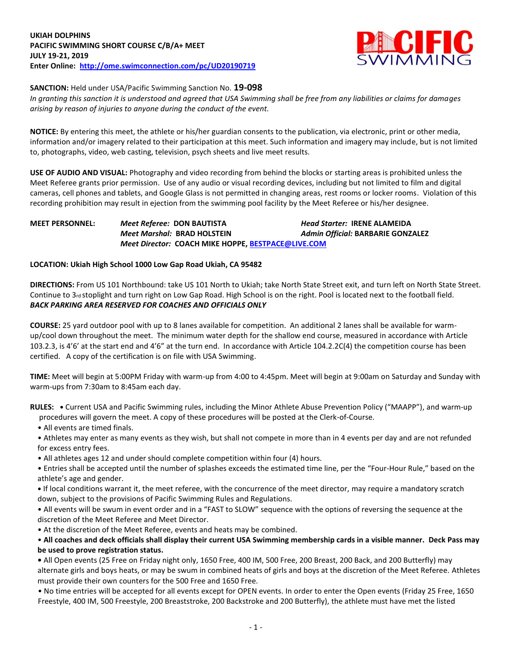

**SANCTION:** Held under USA/Pacific Swimming Sanction No. **19-098**

*In granting this sanction it is understood and agreed that USA Swimming shall be free from any liabilities or claims for damages arising by reason of injuries to anyone during the conduct of the event.*

**NOTICE:** By entering this meet, the athlete or his/her guardian consents to the publication, via electronic, print or other media, information and/or imagery related to their participation at this meet. Such information and imagery may include, but is not limited to, photographs, video, web casting, television, psych sheets and live meet results.

**USE OF AUDIO AND VISUAL:** Photography and video recording from behind the blocks or starting areas is prohibited unless the Meet Referee grants prior permission. Use of any audio or visual recording devices, including but not limited to film and digital cameras, cell phones and tablets, and Google Glass is not permitted in changing areas, rest rooms or locker rooms. Violation of this recording prohibition may result in ejection from the swimming pool facility by the Meet Referee or his/her designee.

# **MEET PERSONNEL:** *Meet Referee:* **DON BAUTISTA** *Head Starter:* **IRENE ALAMEIDA** *Meet Marshal:* **BRAD HOLSTEIN** *Admin Official:* **BARBARIE GONZALEZ** *Meet Director:* **COACH MIKE HOPPE[, BESTPACE@LIVE.COM](mailto:BESTPACE@LIVE.COM)**

## **LOCATION: Ukiah High School 1000 Low Gap Road Ukiah, CA 95482**

**DIRECTIONS:** From US 101 Northbound: take US 101 North to Ukiah; take North State Street exit, and turn left on North State Street. Continue to 3rd stoplight and turn right on Low Gap Road. High School is on the right. Pool is located next to the football field. *BACK PARKING AREA RESERVED FOR COACHES AND OFFICIALS ONLY*

**COURSE:** 25 yard outdoor pool with up to 8 lanes available for competition. An additional 2 lanes shall be available for warmup/cool down throughout the meet. The minimum water depth for the shallow end course, measured in accordance with Article 103.2.3, is 4'6' at the start end and 4'6" at the turn end. In accordance with Article 104.2.2C(4) the competition course has been certified. A copy of the certification is on file with USA Swimming.

**TIME:** Meet will begin at 5:00PM Friday with warm-up from 4:00 to 4:45pm. Meet will begin at 9:00am on Saturday and Sunday with warm-ups from 7:30am to 8:45am each day.

**RULES: •** Current USA and Pacific Swimming rules, including the Minor Athlete Abuse Prevention Policy ("MAAPP"), and warm-up procedures will govern the meet. A copy of these procedures will be posted at the Clerk-of-Course.

- All events are timed finals.
- Athletes may enter as many events as they wish, but shall not compete in more than in 4 events per day and are not refunded for excess entry fees.
- All athletes ages 12 and under should complete competition within four (4) hours.
- Entries shall be accepted until the number of splashes exceeds the estimated time line, per the "Four-Hour Rule," based on the athlete's age and gender.
- **•** If local conditions warrant it, the meet referee, with the concurrence of the meet director, may require a mandatory scratch down, subject to the provisions of Pacific Swimming Rules and Regulations.
- All events will be swum in event order and in a "FAST to SLOW" sequence with the options of reversing the sequence at the discretion of the Meet Referee and Meet Director.
- At the discretion of the Meet Referee, events and heats may be combined.

## • **All coaches and deck officials shall display their current USA Swimming membership cards in a visible manner. Deck Pass may be used to prove registration status.**

**•** All Open events (25 Free on Friday night only, 1650 Free, 400 IM, 500 Free, 200 Breast, 200 Back, and 200 Butterfly) may alternate girls and boys heats, or may be swum in combined heats of girls and boys at the discretion of the Meet Referee. Athletes must provide their own counters for the 500 Free and 1650 Free.

• No time entries will be accepted for all events except for OPEN events. In order to enter the Open events (Friday 25 Free, 1650 Freestyle, 400 IM, 500 Freestyle, 200 Breaststroke, 200 Backstroke and 200 Butterfly), the athlete must have met the listed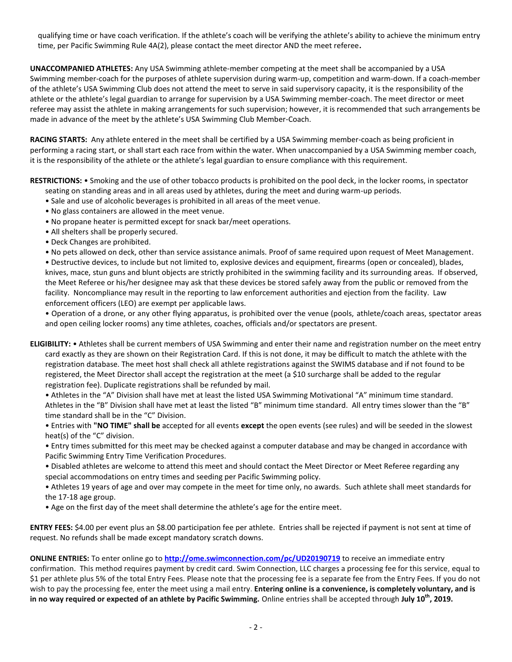qualifying time or have coach verification. If the athlete's coach will be verifying the athlete's ability to achieve the minimum entry time, per Pacific Swimming Rule 4A(2), please contact the meet director AND the meet referee**.**

**UNACCOMPANIED ATHLETES:** Any USA Swimming athlete-member competing at the meet shall be accompanied by a USA Swimming member-coach for the purposes of athlete supervision during warm-up, competition and warm-down. If a coach-member of the athlete's USA Swimming Club does not attend the meet to serve in said supervisory capacity, it is the responsibility of the athlete or the athlete's legal guardian to arrange for supervision by a USA Swimming member-coach. The meet director or meet referee may assist the athlete in making arrangements for such supervision; however, it is recommended that such arrangements be made in advance of the meet by the athlete's USA Swimming Club Member-Coach.

**RACING STARTS:** Any athlete entered in the meet shall be certified by a USA Swimming member-coach as being proficient in performing a racing start, or shall start each race from within the water. When unaccompanied by a USA Swimming member coach, it is the responsibility of the athlete or the athlete's legal guardian to ensure compliance with this requirement.

**RESTRICTIONS:** • Smoking and the use of other tobacco products is prohibited on the pool deck, in the locker rooms, in spectator

- seating on standing areas and in all areas used by athletes, during the meet and during warm-up periods.
- Sale and use of alcoholic beverages is prohibited in all areas of the meet venue.
- No glass containers are allowed in the meet venue.
- No propane heater is permitted except for snack bar/meet operations.
- All shelters shall be properly secured.
- Deck Changes are prohibited.
- No pets allowed on deck, other than service assistance animals. Proof of same required upon request of Meet Management.

• Destructive devices, to include but not limited to, explosive devices and equipment, firearms (open or concealed), blades, knives, mace, stun guns and blunt objects are strictly prohibited in the swimming facility and its surrounding areas. If observed, the Meet Referee or his/her designee may ask that these devices be stored safely away from the public or removed from the facility. Noncompliance may result in the reporting to law enforcement authorities and ejection from the facility. Law enforcement officers (LEO) are exempt per applicable laws.

• Operation of a drone, or any other flying apparatus, is prohibited over the venue (pools, athlete/coach areas, spectator areas and open ceiling locker rooms) any time athletes, coaches, officials and/or spectators are present.

**ELIGIBILITY:** • Athletes shall be current members of USA Swimming and enter their name and registration number on the meet entry card exactly as they are shown on their Registration Card. If this is not done, it may be difficult to match the athlete with the registration database. The meet host shall check all athlete registrations against the SWIMS database and if not found to be registered, the Meet Director shall accept the registration at the meet (a \$10 surcharge shall be added to the regular registration fee). Duplicate registrations shall be refunded by mail.

• Athletes in the "A" Division shall have met at least the listed USA Swimming Motivational "A" minimum time standard. Athletes in the "B" Division shall have met at least the listed "B" minimum time standard. All entry times slower than the "B" time standard shall be in the "C" Division.

• Entries with **"NO TIME" shall be** accepted for all events **except** the open events (see rules) and will be seeded in the slowest heat(s) of the "C" division.

• Entry times submitted for this meet may be checked against a computer database and may be changed in accordance with Pacific Swimming Entry Time Verification Procedures.

• Disabled athletes are welcome to attend this meet and should contact the Meet Director or Meet Referee regarding any special accommodations on entry times and seeding per Pacific Swimming policy.

• Athletes 19 years of age and over may compete in the meet for time only, no awards. Such athlete shall meet standards for the 17-18 age group.

• Age on the first day of the meet shall determine the athlete's age for the entire meet.

**ENTRY FEES:** \$4.00 per event plus an \$8.00 participation fee per athlete. Entries shall be rejected if payment is not sent at time of request. No refunds shall be made except mandatory scratch downs.

**ONLINE ENTRIES:** To enter online go to **<http://ome.swimconnection.com/pc/UD20190719>** to receive an immediate entry confirmation. This method requires payment by credit card. Swim Connection, LLC charges a processing fee for this service, equal to \$1 per athlete plus 5% of the total Entry Fees. Please note that the processing fee is a separate fee from the Entry Fees. If you do not wish to pay the processing fee, enter the meet using a mail entry. **Entering online is a convenience, is completely voluntary, and is in no way required or expected of an athlete by Pacific Swimming.** Online entries shall be accepted through **July 10th, 2019.**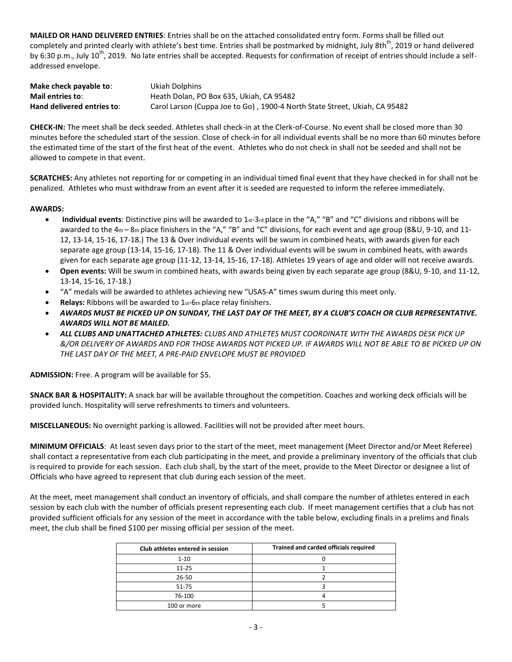**MAILED OR HAND DELIVERED ENTRIES**: Entries shall be on the attached consolidated entry form. Forms shall be filled out completely and printed clearly with athlete's best time. Entries shall be postmarked by midnight, July 8th<sup>th</sup>, 2019 or hand delivered by 6:30 p.m., July 10<sup>th</sup>, 2019. No late entries shall be accepted. Requests for confirmation of receipt of entries should include a selfaddressed envelope.

| Make check payable to:     | Ukiah Dolphins                                                             |
|----------------------------|----------------------------------------------------------------------------|
| Mail entries to:           | Heath Dolan, PO Box 635, Ukiah, CA 95482                                   |
| Hand delivered entries to: | Carol Larson (Cuppa Joe to Go), 1900-4 North State Street, Ukiah, CA 95482 |

**CHECK-IN:** The meet shall be deck seeded. Athletes shall check-in at the Clerk-of-Course. No event shall be closed more than 30 minutes before the scheduled start of the session. Close of check-in for all individual events shall be no more than 60 minutes before the estimated time of the start of the first heat of the event. Athletes who do not check in shall not be seeded and shall not be allowed to compete in that event.

**SCRATCHES:** Any athletes not reporting for or competing in an individual timed final event that they have checked in for shall not be penalized. Athletes who must withdraw from an event after it is seeded are requested to inform the referee immediately.

### **AWARDS:**

- **Individual events**: Distinctive pins will be awarded to 1<sub>st</sub>-3rd place in the "A," "B" and "C" divisions and ribbons will be awarded to the 4th – 8th place finishers in the "A," "B" and "C" divisions, for each event and age group (8&U, 9-10, and 11-12, 13-14, 15-16, 17-18.) The 13 & Over individual events will be swum in combined heats, with awards given for each separate age group (13-14, 15-16, 17-18). The 11 & Over individual events will be swum in combined heats, with awards given for each separate age group (11-12, 13-14, 15-16, 17-18). Athletes 19 years of age and older will not receive awards.
- **Open events:** Will be swum in combined heats, with awards being given by each separate age group (8&U, 9-10, and 11-12, 13-14, 15-16, 17-18.)
- "A" medals will be awarded to athletes achieving new "USAS-A" times swum during this meet only.
- **Relays:** Ribbons will be awarded to 1st-6th place relay finishers.
- *AWARDS MUST BE PICKED UP ON SUNDAY, THE LAST DAY OF THE MEET, BY A CLUB'S COACH OR CLUB REPRESENTATIVE. AWARDS WILL NOT BE MAILED.*
- *ALL CLUBS AND UNATTACHED ATHLETES: CLUBS AND ATHLETES MUST COORDINATE WITH THE AWARDS DESK PICK UP &/OR DELIVERY OF AWARDS AND FOR THOSE AWARDS NOT PICKED UP. IF AWARDS WILL NOT BE ABLE TO BE PICKED UP ON THE LAST DAY OF THE MEET, A PRE-PAID ENVELOPE MUST BE PROVIDED*

**ADMISSION:** Free. A program will be available for \$5.

**SNACK BAR & HOSPITALITY:** A snack bar will be available throughout the competition. Coaches and working deck officials will be provided lunch. Hospitality will serve refreshments to timers and volunteers.

**MISCELLANEOUS:** No overnight parking is allowed. Facilities will not be provided after meet hours.

**MINIMUM OFFICIALS**: At least seven days prior to the start of the meet, meet management (Meet Director and/or Meet Referee) shall contact a representative from each club participating in the meet, and provide a preliminary inventory of the officials that club is required to provide for each session. Each club shall, by the start of the meet, provide to the Meet Director or designee a list of Officials who have agreed to represent that club during each session of the meet.

At the meet, meet management shall conduct an inventory of officials, and shall compare the number of athletes entered in each session by each club with the number of officials present representing each club. If meet management certifies that a club has not provided sufficient officials for any session of the meet in accordance with the table below, excluding finals in a prelims and finals meet, the club shall be fined \$100 per missing official per session of the meet.

| Club athletes entered in session | Trained and carded officials required |
|----------------------------------|---------------------------------------|
| $1 - 10$                         |                                       |
| $11 - 25$                        |                                       |
| $26 - 50$                        |                                       |
| 51-75                            |                                       |
| 76-100                           |                                       |
| 100 or more                      |                                       |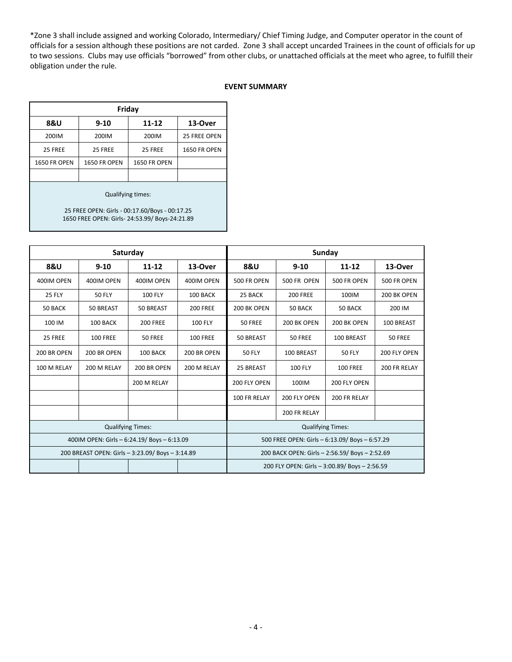\*Zone 3 shall include assigned and working Colorado, Intermediary/ Chief Timing Judge, and Computer operator in the count of officials for a session although these positions are not carded. Zone 3 shall accept uncarded Trainees in the count of officials for up to two sessions. Clubs may use officials "borrowed" from other clubs, or unattached officials at the meet who agree, to fulfill their obligation under the rule.

### **EVENT SUMMARY**

| Friday              |                     |                     |                     |  |  |  |  |  |  |  |
|---------------------|---------------------|---------------------|---------------------|--|--|--|--|--|--|--|
| <b>8&amp;U</b>      | $9 - 10$            | 11-12               | 13-Over             |  |  |  |  |  |  |  |
| 200IM               | 200IM               | 200IM               | 25 FREE OPEN        |  |  |  |  |  |  |  |
| 25 FREE             | 25 FREE             | 25 FREE             | <b>1650 FR OPEN</b> |  |  |  |  |  |  |  |
| <b>1650 FR OPEN</b> | <b>1650 FR OPEN</b> | <b>1650 FR OPEN</b> |                     |  |  |  |  |  |  |  |
|                     |                     |                     |                     |  |  |  |  |  |  |  |
| Qualifying times:   |                     |                     |                     |  |  |  |  |  |  |  |

25 FREE OPEN: Girls - 00:17.60/Boys - 00:17.25 1650 FREE OPEN: Girls- 24:53.99/ Boys-24:21.89

|                                                  |                 | Saturday                                       |                 | Sunday                                         |                                               |                 |              |  |  |
|--------------------------------------------------|-----------------|------------------------------------------------|-----------------|------------------------------------------------|-----------------------------------------------|-----------------|--------------|--|--|
| <b>8&amp;U</b>                                   | $9 - 10$        | $11 - 12$                                      | 13-Over         | 8&U                                            | $9 - 10$                                      | $11 - 12$       | 13-Over      |  |  |
| 400IM OPEN                                       | 400IM OPEN      | 400IM OPEN                                     | 400IM OPEN      | 500 FR OPEN                                    | 500 FR OPEN                                   | 500 FR OPEN     | 500 FR OPEN  |  |  |
| <b>25 FLY</b>                                    | <b>50 FLY</b>   | <b>100 FLY</b>                                 | 100 BACK        | 25 BACK                                        | <b>200 FREE</b>                               | 100IM           | 200 BK OPEN  |  |  |
| 50 BACK                                          | 50 BREAST       | 50 BREAST                                      | <b>200 FREE</b> | 200 BK OPEN                                    | 50 BACK                                       | 50 BACK         | 200 IM       |  |  |
| 100 IM                                           | 100 BACK        | <b>200 FREE</b>                                | <b>100 FLY</b>  | 50 FREE                                        | 200 BK OPEN                                   | 200 BK OPEN     | 100 BREAST   |  |  |
| 25 FREE                                          | <b>100 FREE</b> | 50 FREE                                        | <b>100 FREE</b> | 50 BREAST                                      | <b>50 FREE</b>                                | 100 BREAST      | 50 FREE      |  |  |
| 200 BR OPEN                                      | 200 BR OPEN     | 100 BACK                                       | 200 BR OPEN     | <b>50 FLY</b>                                  | 100 BREAST                                    | <b>50 FLY</b>   | 200 FLY OPEN |  |  |
| 100 M RELAY                                      | 200 M RELAY     | 200 BR OPEN                                    | 200 M RELAY     | 25 BREAST                                      | <b>100 FLY</b>                                | <b>100 FREE</b> | 200 FR RELAY |  |  |
|                                                  |                 | 200 M RELAY                                    |                 | 200 FLY OPEN                                   | 100IM                                         | 200 FLY OPEN    |              |  |  |
|                                                  |                 |                                                |                 | 100 FR RELAY                                   | 200 FLY OPEN<br>200 FR RELAY                  |                 |              |  |  |
|                                                  |                 |                                                |                 | 200 FR RELAY                                   |                                               |                 |              |  |  |
|                                                  |                 | <b>Qualifying Times:</b>                       |                 | <b>Qualifying Times:</b>                       |                                               |                 |              |  |  |
| 400IM OPEN: Girls - 6:24.19/ Boys - 6:13.09      |                 | 500 FREE OPEN: Girls - 6:13.09/ Boys - 6:57.29 |                 |                                                |                                               |                 |              |  |  |
| 200 BREAST OPEN: Girls - 3:23.09/ Boys - 3:14.89 |                 |                                                |                 | 200 BACK OPEN: Girls - 2:56.59/ Boys - 2:52.69 |                                               |                 |              |  |  |
|                                                  |                 |                                                |                 |                                                | 200 FLY OPEN: Girls - 3:00.89/ Boys - 2:56.59 |                 |              |  |  |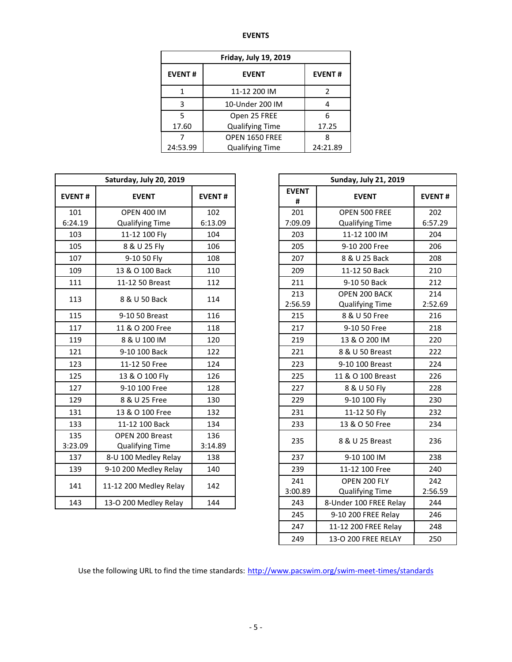#### **EVENTS**

| <b>Friday, July 19, 2019</b> |                        |               |  |  |  |  |  |  |
|------------------------------|------------------------|---------------|--|--|--|--|--|--|
| <b>EVENT#</b>                | <b>EVENT</b>           | <b>EVENT#</b> |  |  |  |  |  |  |
| 1                            | 11-12 200 IM           | 2             |  |  |  |  |  |  |
| 3                            | 10-Under 200 IM        |               |  |  |  |  |  |  |
| 5                            | Open 25 FREE           | հ             |  |  |  |  |  |  |
| 17.60                        | <b>Qualifying Time</b> | 17.25         |  |  |  |  |  |  |
|                              | OPEN 1650 FREE         |               |  |  |  |  |  |  |
| 24:53.99                     | <b>Qualifying Time</b> | 24:21.89      |  |  |  |  |  |  |

|                | Saturday, July 20, 2019                   |                | <b>Sunday, July 21, 2019</b> |                                         |               |  |  |
|----------------|-------------------------------------------|----------------|------------------------------|-----------------------------------------|---------------|--|--|
| <b>EVENT#</b>  | <b>EVENT</b>                              | <b>EVENT#</b>  | <b>EVENT</b><br>#            | <b>EVENT</b>                            | <b>EVENT</b>  |  |  |
| 101            | <b>OPEN 400 IM</b>                        | 102            | 201                          | OPEN 500 FREE                           | 202           |  |  |
| 6:24.19        | <b>Qualifying Time</b>                    | 6:13.09        | 7:09.09                      | <b>Qualifying Time</b>                  | 6:57.2        |  |  |
| 103            | 11-12 100 Fly                             | 104            | 203                          | 11-12 100 IM                            | 204           |  |  |
| 105            | 8 & U 25 Fly                              | 106            | 205                          | 9-10 200 Free                           | 206           |  |  |
| 107            | 9-10 50 Fly                               | 108            | 207                          | 8 & U 25 Back                           | 208           |  |  |
| 109            | 13 & O 100 Back                           | 110            | 209                          | 11-12 50 Back                           | 210           |  |  |
| 111            | 11-12 50 Breast                           | 112            | 211                          | 9-10 50 Back                            | 212           |  |  |
| 113            | 8 & U 50 Back                             | 114            | 213<br>2:56.59               | OPEN 200 BACK<br><b>Qualifying Time</b> | 214<br>2:52.6 |  |  |
| 115            | 9-10 50 Breast                            | 116            | 215                          | 8 & U 50 Free                           | 216           |  |  |
| 117            | 11 & O 200 Free                           | 118            | 217                          | 9-10 50 Free                            | 218           |  |  |
| 119            | 8 & U 100 IM                              | 120            | 219                          | 13 & O 200 IM                           | 220           |  |  |
| 121            | 9-10 100 Back                             | 122            | 221                          | 8 & U 50 Breast                         | 222           |  |  |
| 123            | 11-12 50 Free                             | 124            | 223                          | 9-10 100 Breast                         | 224           |  |  |
| 125            | 13 & O 100 Fly                            | 126            | 225                          | 11 & O 100 Breast                       | 226           |  |  |
| 127            | 9-10 100 Free                             | 128            | 227                          | 8 & U 50 Fly                            | 228           |  |  |
| 129            | 8 & U 25 Free                             | 130            | 229                          | 9-10 100 Fly                            | 230           |  |  |
| 131            | 13 & O 100 Free                           | 132            | 231                          | 11-12 50 Fly                            | 232           |  |  |
| 133            | 11-12 100 Back                            | 134            | 233                          | 13 & O 50 Free                          | 234           |  |  |
| 135<br>3:23.09 | OPEN 200 Breast<br><b>Qualifying Time</b> | 136<br>3:14.89 | 235                          | 8 & U 25 Breast                         | 236           |  |  |
| 137            | 8-U 100 Medley Relay                      | 138            | 237                          | 9-10 100 IM                             | 238           |  |  |
| 139            | 9-10 200 Medley Relay                     | 140            | 239                          | 11-12 100 Free                          | 240           |  |  |
| 141            | 11-12 200 Medley Relay                    | 142            | 241<br>3:00.89               | OPEN 200 FLY<br><b>Qualifying Time</b>  | 242<br>2:56.5 |  |  |
| 143            | 13-O 200 Medley Relay                     | 144            | 243                          | 8-Under 100 FREE Relay                  | 244           |  |  |
|                |                                           |                |                              |                                         |               |  |  |

| <b>Sunday, July 21, 2019</b> |                        |               |  |  |  |  |  |  |
|------------------------------|------------------------|---------------|--|--|--|--|--|--|
| <b>EVENT</b><br>#            | <b>EVENT</b>           | <b>EVENT#</b> |  |  |  |  |  |  |
| 201                          | OPEN 500 FREE          | 202           |  |  |  |  |  |  |
| 7:09.09                      | <b>Qualifying Time</b> | 6:57.29       |  |  |  |  |  |  |
| 203                          | 11-12 100 IM           | 204           |  |  |  |  |  |  |
| 205                          | 9-10 200 Free          | 206           |  |  |  |  |  |  |
| 207                          | 8 & U 25 Back          | 208           |  |  |  |  |  |  |
| 209                          | 11-12 50 Back          | 210           |  |  |  |  |  |  |
| 211                          | 9-10 50 Back           | 212           |  |  |  |  |  |  |
| 213                          | OPEN 200 BACK          | 214           |  |  |  |  |  |  |
| 2:56.59                      | <b>Qualifying Time</b> | 2:52.69       |  |  |  |  |  |  |
| 215                          | 8 & U 50 Free          | 216           |  |  |  |  |  |  |
| 217                          | 9-10 50 Free           | 218           |  |  |  |  |  |  |
| 219                          | 13 & O 200 IM          | 220           |  |  |  |  |  |  |
| 221                          | 8 & U 50 Breast        | 222           |  |  |  |  |  |  |
| 223                          | 9-10 100 Breast        | 224           |  |  |  |  |  |  |
| 225                          | 11 & O 100 Breast      | 226           |  |  |  |  |  |  |
| 227                          | 8 & U 50 Fly           | 228           |  |  |  |  |  |  |
| 229                          | 9-10 100 Fly           | 230           |  |  |  |  |  |  |
| 231                          | 11-12 50 Fly           | 232           |  |  |  |  |  |  |
| 233                          | 13 & O 50 Free         | 234           |  |  |  |  |  |  |
| 235                          | 8 & U 25 Breast        | 236           |  |  |  |  |  |  |
| 237                          | 9-10 100 IM            | 238           |  |  |  |  |  |  |
| 239                          | 11-12 100 Free         | 240           |  |  |  |  |  |  |
| 241                          | OPEN 200 FLY           | 242           |  |  |  |  |  |  |
| 3:00.89                      | <b>Qualifying Time</b> | 2:56.59       |  |  |  |  |  |  |
| 243                          | 8-Under 100 FREE Relay | 244           |  |  |  |  |  |  |
| 245                          | 9-10 200 FREE Relay    | 246           |  |  |  |  |  |  |
| 247                          | 11-12 200 FREE Relay   | 248           |  |  |  |  |  |  |
| 249                          | 13-O 200 FREE RELAY    | 250           |  |  |  |  |  |  |

Use the following URL to find the time standards: <http://www.pacswim.org/swim-meet-times/standards>